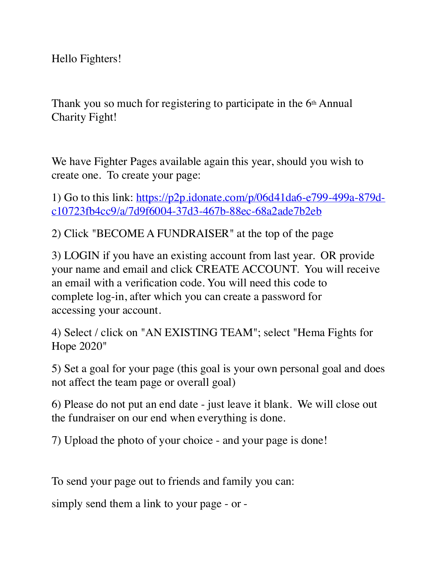Hello Fighters!

Thank you so much for registering to participate in the 6<sup>th</sup> Annual Charity Fight!

We have Fighter Pages available again this year, should you wish to create one. To create your page:

1) Go to this link: [https://p2p.idonate.com/p/06d41da6-e799-499a-879d](https://p2p.idonate.com/p/06d41da6-e799-499a-879d-c10723fb4cc9/a/7d9f6004-37d3-467b-88ec-68a2ade7b2eb)[c10723fb4cc9/a/7d9f6004-37d3-467b-88ec-68a2ade7b2eb](https://p2p.idonate.com/p/06d41da6-e799-499a-879d-c10723fb4cc9/a/7d9f6004-37d3-467b-88ec-68a2ade7b2eb)

2) Click "BECOME A FUNDRAISER" at the top of the page

3) LOGIN if you have an existing account from last year. OR provide your name and email and click CREATE ACCOUNT. You will receive an email with a verification code. You will need this code to complete log-in, after which you can create a password for accessing your account.

4) Select / click on "AN EXISTING TEAM"; select "Hema Fights for Hope 2020"

5) Set a goal for your page (this goal is your own personal goal and does not affect the team page or overall goal)

6) Please do not put an end date - just leave it blank. We will close out the fundraiser on our end when everything is done.

7) Upload the photo of your choice - and your page is done!

To send your page out to friends and family you can:

simply send them a link to your page - or -